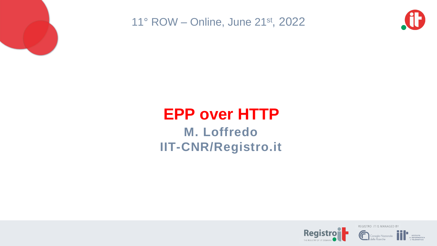## **EPP over HTTP M. Loffredo IIT-CNR/Registro.it**









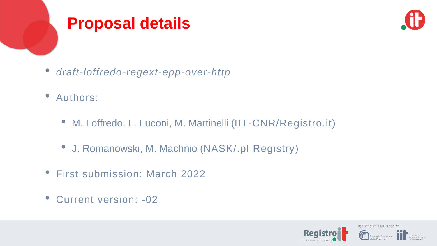- *draft-loffredo-regext-epp-over-http*
- Authors:
	- M. Loffredo, L. Luconi, M. Martinelli (IIT-CNR/Registro.it)
	- J. Romanowski, M. Machnio (NASK/.pl Registry)
- First submission: March 2022
- Current version: -02





REGISTRO .IT IS MANAGED BY





# **Proposal details**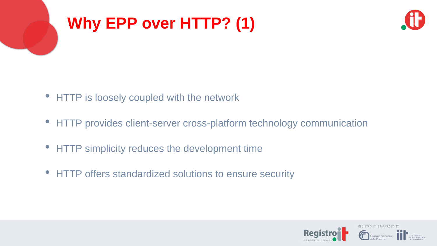- HTTP is loosely coupled with the network
- HTTP provides client-server cross-platform technology communication
- HTTP simplicity reduces the development time
- HTTP offers standardized solutions to ensure security





REGISTRO .IT IS MANAGED BY





# **Why EPP over HTTP? (1)**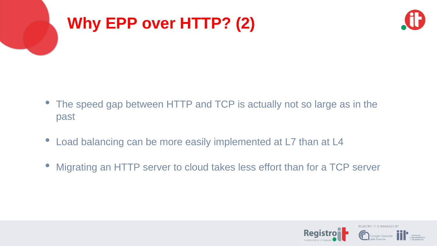- past
- Load balancing can be more easily implemented at L7 than at L4
- Migrating an HTTP server to cloud takes less effort than for a TCP server





## • The speed gap between HTTP and TCP is actually not so large as in the



REGISTRO .IT IS MANAGED BY





# **Why EPP over HTTP? (2)**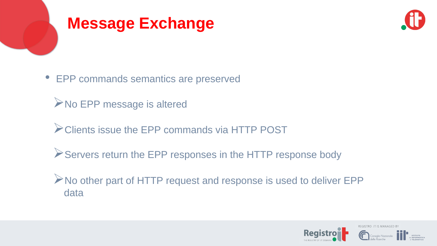• EPP commands semantics are preserved ANo EPP message is altered Clients issue the EPP commands via HTTP POST

▶Servers return the EPP responses in the HTTP response body

- 
- No other part of HTTP request and response is used to deliver EPP



REGISTRO .IT IS MANAGED BY



**ISTITUTO**<br>DI **INFORMATIC** 

data







# **Message Exchange**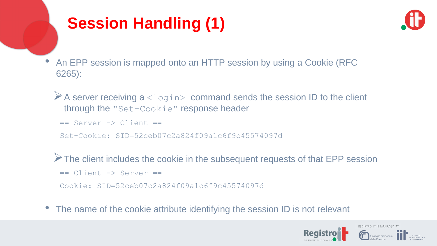6265):

through the "Set-Cookie" response header

- An EPP session is mapped onto an HTTP session by using a Cookie (RFC
- A server receiving  $a <$ login> command sends the session ID to the client
	-
- The client includes the cookie in the subsequent requests of that EPP session
	-
	-



REGISTRO .IT IS MANAGED BY



== Server -> Client ==

Set-Cookie: SID=52ceb07c2a824f09a1c6f9c45574097d

== Client -> Server == Cookie: SID=52ceb07c2a824f09a1c6f9c45574097d

• The name of the cookie attribute identifying the session ID is not relevant





# **Session Handling (1)**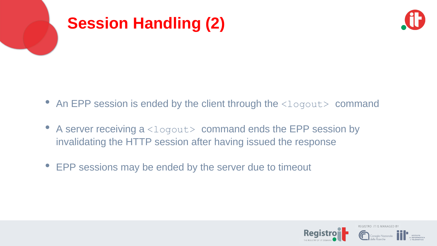

# **Session Handling (2)**

- 
- A server receiving a <logout> command ends the EPP session by invalidating the HTTP session after having issued the response
- EPP sessions may be ended by the server due to timeout



### • An EPP session is ended by the client through the  $\langle\text{logout}\rangle$  command



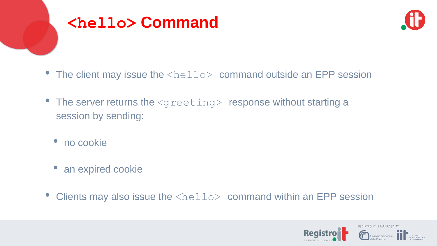

## **<hello> Command**

- 
- The server returns the <greeting> response without starting a session by sending:
	- no cookie
	- an expired cookie
- 





### • The client may issue the  $\langle$ hello $\rangle$  command outside an EPP session

## Clients may also issue the  $\langle$ hello $\rangle$  command within an EPP session



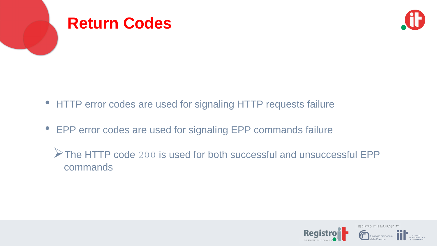The HTTP code <sup>200</sup> is used for both successful and unsuccessful EPP



REGISTRO .IT IS MANAGED BY



commands





## **Return Codes**

- HTTP error codes are used for signaling HTTP requests failure
- EPP error codes are used for signaling EPP commands failure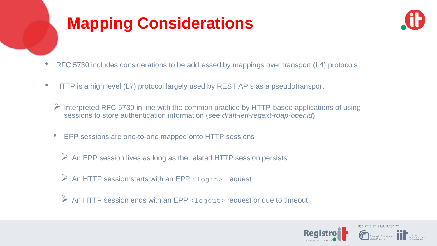

# **Mapping Considerations**

- RFC 5730 includes considerations to be addressed by mappings over transport (L4) protocols
- HTTP is a high level (L7) protocol largely used by REST APIs as a pseudotransport
	- $\triangleright$  Interpreted RFC 5730 in line with the common practice by HTTP-based applications of using sessions to store authentication information (see *draft-ietf-regext-rdap-openid*)
	- EPP sessions are one-to-one mapped onto HTTP sessions
		- $\triangleright$  An EPP session lives as long as the related HTTP session persists
		- $\triangleright$  An HTTP session starts with an EPP  $\lt$ login> request
		- $\triangleright$  An HTTP session ends with an EPP  $\ltlog$  out  $\gt$  request or due to timeout





REGISTRO .IT IS MANAGED BY



**ISTITUTO<br>DI INFORMATIC**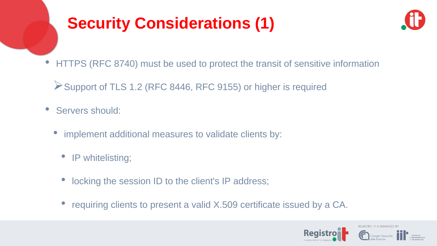- HTTPS (RFC 8740) must be used to protect the transit of sensitive information
	-



REGISTRO .IT IS MANAGED BY



- implement additional measures to validate clients by:
	- IP whitelisting;
	- locking the session ID to the client's IP address;
	- requiring clients to present a valid X.509 certificate issued by a CA.





# **Security Considerations (1)**

▶ Support of TLS 1.2 (RFC 8446, RFC 9155) or higher is required

Servers should: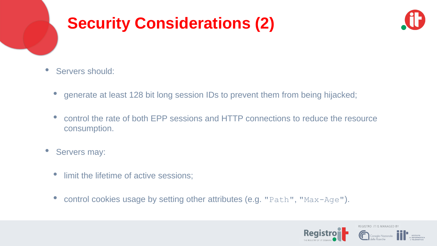

# **Security Considerations (2)**

- Servers should:
	-
	- consumption.
- Servers may:
	- limit the lifetime of active sessions;
	- control cookies usage by setting other attributes (e.g. "Path", "Max-Age").





### • generate at least 128 bit long session IDs to prevent them from being hijacked;

### • control the rate of both EPP sessions and HTTP connections to reduce the resource